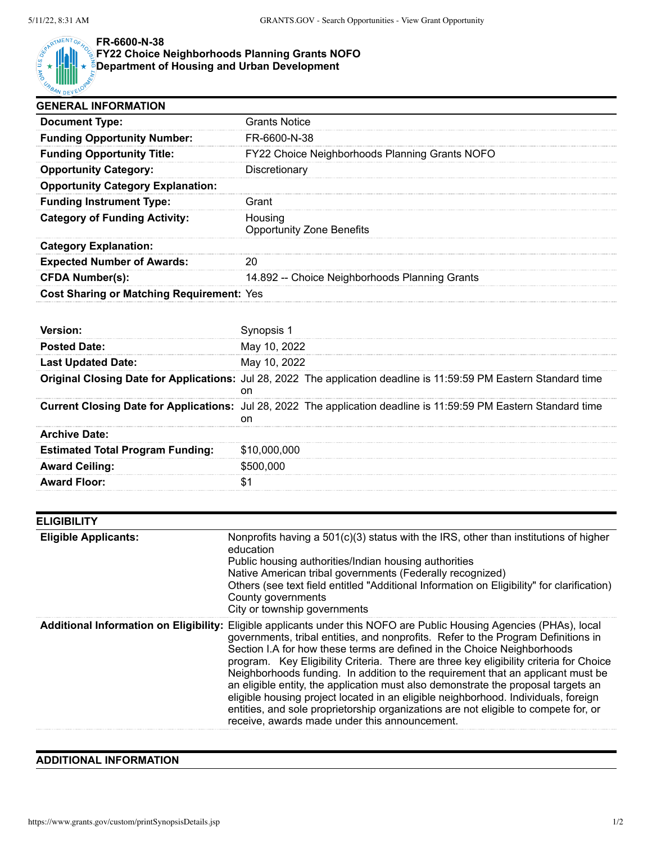

## **FR-6600-N-38**

## **FY22 Choice Neighborhoods Planning Grants NOFO**

**Department of Housing and Urban Development**

| <b>GENERAL INFORMATION</b>                    |                                                                                                                                                                           |
|-----------------------------------------------|---------------------------------------------------------------------------------------------------------------------------------------------------------------------------|
| <b>Document Type:</b>                         | <b>Grants Notice</b>                                                                                                                                                      |
| <b>Funding Opportunity Number:</b>            | FR-6600-N-38                                                                                                                                                              |
| <b>Funding Opportunity Title:</b>             | FY22 Choice Neighborhoods Planning Grants NOFO                                                                                                                            |
| <b>Opportunity Category:</b>                  | Discretionary                                                                                                                                                             |
| <b>Opportunity Category Explanation:</b>      |                                                                                                                                                                           |
| <b>Funding Instrument Type:</b>               | Grant                                                                                                                                                                     |
| <b>Category of Funding Activity:</b>          | Housing<br><b>Opportunity Zone Benefits</b>                                                                                                                               |
| <b>Category Explanation:</b>                  |                                                                                                                                                                           |
| <b>Expected Number of Awards:</b>             | 20                                                                                                                                                                        |
| <b>CFDA Number(s):</b>                        | 14.892 -- Choice Neighborhoods Planning Grants                                                                                                                            |
| Cost Sharing or Matching Requirement: Yes     |                                                                                                                                                                           |
|                                               |                                                                                                                                                                           |
| Version:                                      | Synopsis 1                                                                                                                                                                |
| <b>Posted Date:</b>                           | May 10, 2022                                                                                                                                                              |
| <b>Last Updated Date:</b>                     | May 10, 2022                                                                                                                                                              |
|                                               | Original Closing Date for Applications: Jul 28, 2022 The application deadline is 11:59:59 PM Eastern Standard time<br>on                                                  |
|                                               | Current Closing Date for Applications: Jul 28, 2022 The application deadline is 11:59:59 PM Eastern Standard time<br>on                                                   |
| <b>Archive Date:</b>                          |                                                                                                                                                                           |
| <b>Estimated Total Program Funding:</b>       | \$10,000,000                                                                                                                                                              |
| <b>Award Ceiling:</b>                         | \$500,000                                                                                                                                                                 |
| <b>Award Floor:</b>                           | \$1                                                                                                                                                                       |
|                                               |                                                                                                                                                                           |
| <b>ELIGIBILITY</b>                            |                                                                                                                                                                           |
| <b>Eligible Applicants:</b>                   | Nonprofits having a 501(c)(3) status with the IRS, other than institutions of higher<br>education                                                                         |
|                                               | Public housing authorities/Indian housing authorities                                                                                                                     |
|                                               | Native American tribal governments (Federally recognized)<br>Others (see text field entitled "Additional Information on Eligibility" for clarification)                   |
|                                               | County governments                                                                                                                                                        |
|                                               | City or township governments                                                                                                                                              |
| <b>Additional Information on Eligibility:</b> | Eligible applicants under this NOFO are Public Housing Agencies (PHAs), local<br>governments, tribal entities, and nonprofits. Refer to the Program Definitions in        |
|                                               | Section I.A for how these terms are defined in the Choice Neighborhoods                                                                                                   |
|                                               | program. Key Eligibility Criteria. There are three key eligibility criteria for Choice<br>Neighborhoods funding. In addition to the requirement that an applicant must be |
|                                               | an eligible entity, the application must also demonstrate the proposal targets an                                                                                         |
|                                               | eligible housing project located in an eligible neighborhood. Individuals, foreign                                                                                        |
|                                               | entities, and sole proprietorship organizations are not eligible to compete for, or<br>receive, awards made under this announcement.                                      |
|                                               |                                                                                                                                                                           |

## **ADDITIONAL INFORMATION**